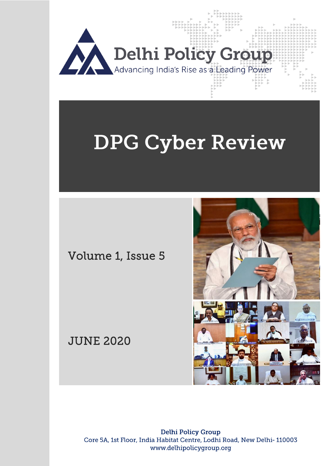

# **DPG Cyber Review**

Volume 1, Issue 5

JUNE 2020



**Delhi Policy Group** Core 5A, 1st Floor, India Habitat Centre, Lodhi Road, New Delhi-110003 www.delhipolicygroup.org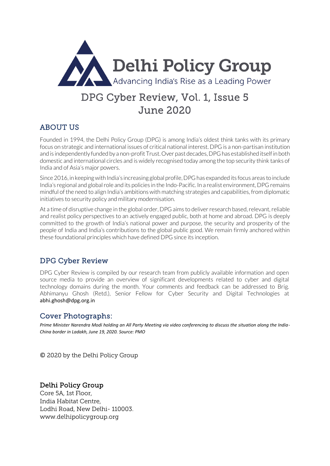

# DPG Cyber Review, Vol. 1, Issue 5 June 2020

# ABOUT US

Founded in 1994, the Delhi Policy Group (DPG) is among India's oldest think tanks with its primary focus on strategic and international issues of critical national interest. DPG is a non-partisan institution and is independently funded by a non-profit Trust. Over past decades, DPG has established itself in both domestic and international circles and is widely recognised today among the top security think tanks of India and of Asia's major powers.

Since 2016, in keeping with India's increasing global profile, DPG has expanded its focus areas to include India's regional and global role and its policies in the Indo-Pacific. In a realist environment, DPG remains mindful of the need to align India's ambitions with matching strategies and capabilities, from diplomatic initiatives to security policy and military modernisation.

At a time of disruptive change in the global order, DPG aims to deliver research based, relevant, reliable and realist policy perspectives to an actively engaged public, both at home and abroad. DPG is deeply committed to the growth of India's national power and purpose, the security and prosperity of the people of India and India's contributions to the global public good. We remain firmly anchored within these foundational principles which have defined DPG since its inception.

# DPG Cyber Review

DPG Cyber Review is compiled by our research team from publicly available information and open source media to provide an overview of significant developments related to cyber and digital technology domains during the month. Your comments and feedback can be addressed to Brig. Abhimanyu Ghosh (Retd.), Senior Fellow for Cyber Security and Digital Technologies at [abhi.ghosh@dpg.org.in](mailto:abhi.ghosh@dpg.org.in)

# Cover Photographs:

*Prime Minister Narendra Modi holding an All Party Meeting via video conferencing to discuss the situation along the India-China border in Ladakh, June 19, 2020. Source: PMO*

© 2020 by the Delhi Policy Group

# Delhi Policy Group

Core 5A, 1st Floor, India Habitat Centre, Lodhi Road, New Delhi- 110003. www.delhipolicygroup.org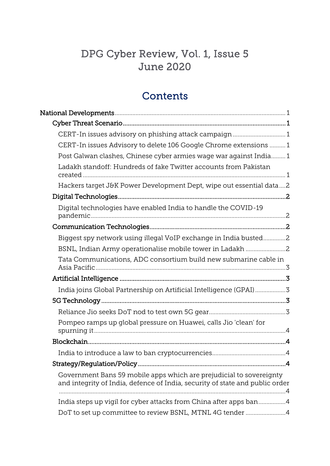# DPG Cyber Review, Vol. 1, Issue 5 June 2020

# **Contents**

| CERT-In issues advisory on phishing attack campaign 1                                                                                               |  |
|-----------------------------------------------------------------------------------------------------------------------------------------------------|--|
| CERT-In issues Advisory to delete 106 Google Chrome extensions  1                                                                                   |  |
| Post Galwan clashes, Chinese cyber armies wage war against India1                                                                                   |  |
| Ladakh standoff: Hundreds of fake Twitter accounts from Pakistan                                                                                    |  |
| Hackers target J&K Power Development Dept, wipe out essential data2                                                                                 |  |
|                                                                                                                                                     |  |
| Digital technologies have enabled India to handle the COVID-19                                                                                      |  |
|                                                                                                                                                     |  |
| Biggest spy network using illegal VoIP exchange in India busted2                                                                                    |  |
| BSNL, Indian Army operationalise mobile tower in Ladakh 2                                                                                           |  |
| Tata Communications, ADC consortium build new submarine cable in                                                                                    |  |
|                                                                                                                                                     |  |
| India joins Global Partnership on Artificial Intelligence (GPAI)3                                                                                   |  |
|                                                                                                                                                     |  |
|                                                                                                                                                     |  |
| Pompeo ramps up global pressure on Huawei, calls Jio 'clean' for                                                                                    |  |
|                                                                                                                                                     |  |
|                                                                                                                                                     |  |
|                                                                                                                                                     |  |
| Government Bans 59 mobile apps which are prejudicial to sovereignty<br>and integrity of India, defence of India, security of state and public order |  |
| India steps up vigil for cyber attacks from China after apps ban4                                                                                   |  |
| DoT to set up committee to review BSNL, MTNL 4G tender 4                                                                                            |  |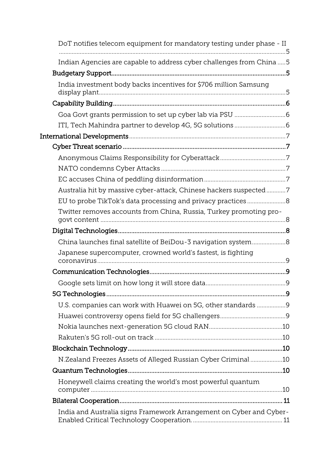| DoT notifies telecom equipment for mandatory testing under phase - II       |  |
|-----------------------------------------------------------------------------|--|
| Indian Agencies are capable to address cyber challenges from China  5       |  |
|                                                                             |  |
| India investment body backs incentives for \$706 million Samsung            |  |
|                                                                             |  |
|                                                                             |  |
|                                                                             |  |
|                                                                             |  |
|                                                                             |  |
|                                                                             |  |
|                                                                             |  |
|                                                                             |  |
| Australia hit by massive cyber-attack, Chinese hackers suspected7           |  |
| EU to probe TikTok's data processing and privacy practices 8                |  |
| Twitter removes accounts from China, Russia, Turkey promoting pro-          |  |
|                                                                             |  |
| China launches final satellite of BeiDou-3 navigation system8               |  |
| Japanese supercomputer, crowned world's fastest, is fighting<br>coronavirus |  |
|                                                                             |  |
|                                                                             |  |
|                                                                             |  |
| U.S. companies can work with Huawei on 5G, other standards                  |  |
|                                                                             |  |
|                                                                             |  |
|                                                                             |  |
|                                                                             |  |
| N.Zealand Freezes Assets of Alleged Russian Cyber Criminal10                |  |
|                                                                             |  |
| Honeywell claims creating the world's most powerful quantum                 |  |
|                                                                             |  |
| India and Australia signs Framework Arrangement on Cyber and Cyber-         |  |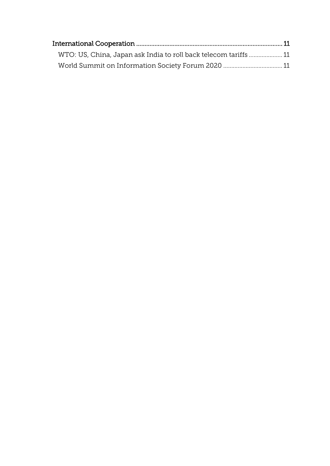| WTO: US, China, Japan ask India to roll back telecom tariffs  11 |  |
|------------------------------------------------------------------|--|
|                                                                  |  |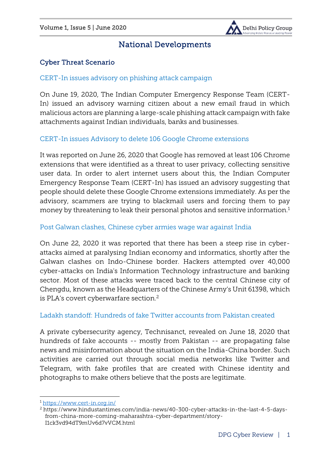

# National Developments

# <span id="page-5-1"></span><span id="page-5-0"></span>Cyber Threat Scenario

#### <span id="page-5-2"></span>*[CERT-In issues advisory on phishing attack campaign](https://www.cert-in.org.in/)*

On June 19, 2020, The Indian Computer Emergency Response Team (CERT-In) issued an advisory warning citizen about a new email fraud in which malicious actors are planning a large-scale phishing attack campaign with fake attachments against Indian individuals, banks and businesses.

#### <span id="page-5-3"></span>*[CERT-In issues Advisory to delete 106 Google Chrome extensions](https://ciso.economictimes.indiatimes.com/news/cert-in-wants-you-to-delete-these-google-chrome-extensions-immediately/76637074)*

It was reported on June 26, 2020 that Google has removed at least 106 Chrome extensions that were identified as a threat to user privacy, collecting sensitive user data. In order to alert internet users about this, the Indian Computer Emergency Response Team (CERT-In) has issued an advisory suggesting that people should delete these Google Chrome extensions immediately. As per the advisory, scammers are trying to blackmail users and forcing them to pay money by threatening to leak their personal photos and sensitive information.<sup>1</sup>

#### <span id="page-5-4"></span>*Post Galwan [clashes, Chinese cyber armies wage war against India](https://ciso.economictimes.indiatimes.com/news/post-galwan-chinese-cyber-armies-wage-war-against-india/76502461)*

On June 22, 2020 it was reported that there has been a steep rise in cyberattacks aimed at paralysing Indian economy and informatics, shortly after the Galwan clashes on Indo-Chinese border. Hackers attempted over 40,000 cyber-attacks on India's Information Technology infrastructure and banking sector. Most of these attacks were traced back to the central Chinese city of Chengdu, known as the Headquarters of the Chinese Army's Unit 61398, which is PLA's covert cyberwarfare section.<sup>2</sup>

# <span id="page-5-5"></span>*Ladakh standoff: Hundreds of fake Twitter accounts from Pakistan created*

A private cybersecurity agency, Technisanct, revealed on June 18, 2020 that hundreds of fake accounts -- mostly from Pakistan -- are propagating false news and misinformation about the situation on the India-China border. Such activities are carried out through social media networks like Twitter and Telegram, with fake profiles that are created with Chinese identity and photographs to make others believe that the posts are legitimate.

1

<sup>1</sup> <https://www.cert-in.org.in/>

<sup>2</sup> [https://www.hindustantimes.com/india-news/40-300-cyber-attacks-in-the-last-4-5-days](https://www.hindustantimes.com/india-news/40-300-cyber-attacks-in-the-last-4-5-days-from-china-more-coming-maharashtra-cyber-department/story-I1ck3vd94dT9mUv6d7vVCM.html)[from-china-more-coming-maharashtra-cyber-department/story-](https://www.hindustantimes.com/india-news/40-300-cyber-attacks-in-the-last-4-5-days-from-china-more-coming-maharashtra-cyber-department/story-I1ck3vd94dT9mUv6d7vVCM.html)[I1ck3vd94dT9mUv6d7vVCM.html](https://www.hindustantimes.com/india-news/40-300-cyber-attacks-in-the-last-4-5-days-from-china-more-coming-maharashtra-cyber-department/story-I1ck3vd94dT9mUv6d7vVCM.html)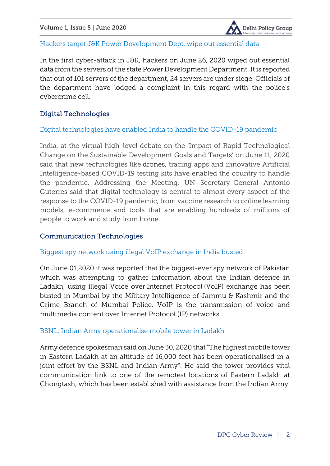

#### <span id="page-6-0"></span>*Hackers target J&K Power Development Dept, wipe out essential data*

In the first cyber-attack in J&K, hackers on June 26, 2020 wiped out essential data from the servers of the state Power Development Department. It is reported that out of 101 servers of the department, 24 servers are under siege. Officials of the department have lodged a complaint in this regard with the police's cybercrime cell.

# <span id="page-6-1"></span>Digital Technologies

#### <span id="page-6-2"></span>*[Digital technologies have enabled India to handle the COVID-19 pandemic](https://ciso.economictimes.indiatimes.com/news/drones-contact-tracing-apps-became-more-acceptable-during-covid-19-than-ever-before-india-at-un/76340496)*

India, at the virtual high-level debate on the 'Impact of Rapid Technological Change on the Sustainable Development Goals and Targets' on June 11, 2020 said that new technologies like drones, tracing apps and innovative Artificial Intelligence-based COVID-19 testing kits have enabled the country to handle the pandemic. Addressing the Meeting, UN Secretary-General Antonio Guterres said that digital technology is central to almost every aspect of the response to the COVID-19 pandemic, from vaccine research to online learning models, e-commerce and tools that are enabling hundreds of millions of people to work and study from home.

#### <span id="page-6-3"></span>Communication Technologies

# <span id="page-6-4"></span>*[Biggest spy network using illegal VoIP exchange in India busted](https://ciso.economictimes.indiatimes.com/news/biggest-spy-network-using-illegal-voip-exchange-in-india-busted/76128383)*

On June 01,2020 it was reported that the biggest-ever spy network of Pakistan which was attempting to gather information about the Indian defence in Ladakh, using illegal Voice over Internet Protocol (VoIP) exchange has been busted in Mumbai by the Military Intelligence of Jammu & Kashmir and the Crime Branch of Mumbai Police. VoIP is the transmission of voice and multimedia content over Internet Protocol (IP) networks.

#### <span id="page-6-5"></span>*[BSNL, Indian Army operationalise mobile tower in Ladakh](https://economictimes.indiatimes.com/infrastructure/bsnl-indian-army-operationalise-mobile-tower-in-ladakh/mobile-tower-in-ladakh/slideshow/47875700.cms)*

Army defence spokesman said on June 30, 2020 that "The highest mobile tower in Eastern Ladakh at an altitude of 16,000 feet has been operationalised in a joint effort by the BSNL and Indian Army". He said the tower provides vital communication link to one of the remotest locations of Eastern Ladakh at Chongtash, which has been established with assistance from the Indian Army.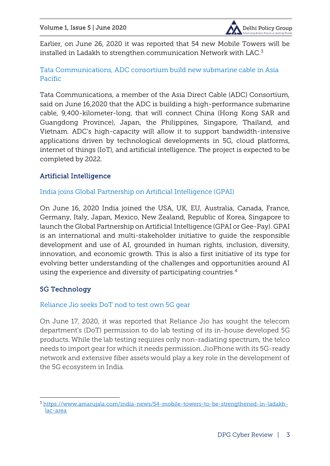

Earlier, on June 26, 2020 it was reported that 54 new Mobile Towers will be installed in Ladakh to strengthen communication Network with LAC.<sup>3</sup>

# <span id="page-7-0"></span>*[Tata Communications, ADC consortium build new submarine cable in Asia](https://telecom.economictimes.indiatimes.com/news/tata-communications-adc-consortium-build-new-submarine-cable-in-asia-pacific/76399755)  [Pacific](https://telecom.economictimes.indiatimes.com/news/tata-communications-adc-consortium-build-new-submarine-cable-in-asia-pacific/76399755)*

Tata Communications, a member of the Asia Direct Cable (ADC) Consortium, said on June 16,2020 that the ADC is building a high-performance submarine cable, 9,400-kilometer-long, that will connect China (Hong Kong SAR and Guangdong Province), Japan, the Philippines, Singapore, Thailand, and Vietnam. ADC's high-capacity will allow it to support bandwidth-intensive applications driven by technological developments in 5G, cloud platforms, internet of things (IoT), and artificial intelligence. The project is expected to be completed by 2022.

# <span id="page-7-1"></span>Artificial Intelligence

# <span id="page-7-2"></span>*[India joins Global Partnership on Artificial Intelligence \(GPAI\)](https://pib.gov.in/PressReleseDetailm.aspx?PRID=1631676)*

On June 16, 2020 India joined the USA, UK, EU, Australia, Canada, France, Germany, Italy, Japan, Mexico, New Zealand, Republic of Korea, Singapore to launch the Global Partnership on Artificial Intelligence (GPAI or Gee-Pay). GPAI is an international and multi-stakeholder initiative to guide the responsible development and use of AI, grounded in human rights, inclusion, diversity, innovation, and economic growth. This is also a first initiative of its type for evolving better understanding of the challenges and opportunities around AI using the experience and diversity of participating countries.<sup>4</sup>

# <span id="page-7-3"></span>5G Technology

1

# <span id="page-7-4"></span>*[Reliance Jio seeks DoT nod to test own 5G gear](https://telecom.economictimes.indiatimes.com/news/reliance-jio-aims-to-test-own-5g-gear-seeks-dot-nod-report/76421637)*

On June 17, 2020, it was reported that Reliance Jio has sought the telecom department's (DoT) permission to do lab testing of its in-house developed 5G products. While the lab testing requires only non-radiating spectrum, the telco needs to import gear for which it needs permission. JioPhone with its 5G-ready network and extensive fiber assets would play a key role in the development of the 5G ecosystem in India.

<sup>3</sup> [https://www.amarujala.com/india-news/54-mobile-towers-to-be-strengthened-in-ladakh](https://www.amarujala.com/india-news/54-mobile-towers-to-be-strengthened-in-ladakh-lac-area)[lac-area](https://www.amarujala.com/india-news/54-mobile-towers-to-be-strengthened-in-ladakh-lac-area)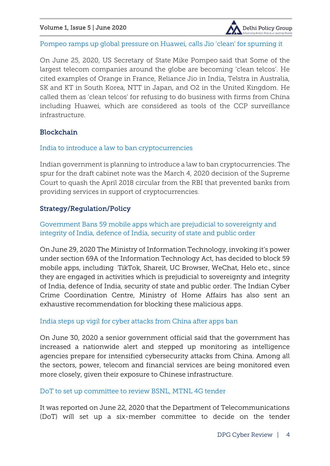

#### <span id="page-8-0"></span>*[Pompeo ramps up global pressure on Huawei, calls Jio 'clean' for spurning it](https://telecom.economictimes.indiatimes.com/news/huaweis-deals-with-telecom-operators-evaporating-says-pompeo/76616199)*

On June 25, 2020, US Secretary of State Mike Pompeo said that Some of the largest telecom companies around the globe are becoming 'clean telcos'. He cited examples of Orange in France, Reliance Jio in India, Telstra in Australia, SK and KT in South Korea, NTT in Japan, and O2 in the United Kingdom. He called them as 'clean telcos' for refusing to do business with firms from China including Huawei, which are considered as tools of the CCP surveillance infrastructure.

# <span id="page-8-1"></span>**Blockchain**

#### <span id="page-8-2"></span>*[India to introduce a law to ban cryptocurrencies](https://ciso.economictimes.indiatimes.com/news/with-a-law-india-plans-lasting-ban-on-cryptos/76336561)*

Indian government is planning to introduce a law to ban cryptocurrencies. The spur for the draft cabinet note was the March 4, 2020 decision of the Supreme Court to quash the April 2018 circular from the RBI that prevented banks from providing services in support of cryptocurrencies.

# <span id="page-8-3"></span>Strategy/Regulation/Policy

<span id="page-8-4"></span>*[Government Bans 59 mobile apps which are prejudicial to sovereignty and](https://pib.gov.in/PressReleasePage.aspx?PRID=1635206#.XvoIE9L3Qpw.whatsapp)  [integrity of India, defence of India, security of state and public order](https://pib.gov.in/PressReleasePage.aspx?PRID=1635206#.XvoIE9L3Qpw.whatsapp)*

On June 29, 2020 The Ministry of Information Technology, invoking it's power under section 69A of the Information Technology Act, has decided to block 59 mobile apps, including TikTok, Shareit, UC Browser, WeChat, Helo etc., since they are engaged in activities which is prejudicial to sovereignty and integrity of India, defence of India, security of state and public order. The Indian Cyber Crime Coordination Centre, Ministry of Home Affairs has also sent an exhaustive recommendation for blocking these malicious apps.

# <span id="page-8-5"></span>*[India steps up vigil for cyber attacks from China after apps ban](https://telecom.economictimes.indiatimes.com/news/india-steps-up-vigil-for-cyber-attacks-from-china-after-apps-ban/76710514)*

On June 30, 2020 a senior government official said that the government has increased a nationwide alert and stepped up monitoring as intelligence agencies prepare for intensified cybersecurity attacks from China. Among all the sectors, power, telecom and financial services are being monitored even more closely, given their exposure to Chinese infrastructure.

# <span id="page-8-6"></span>*[DoT to set up committee to review BSNL, MTNL 4G tender](https://telecom.economictimes.indiatimes.com/news/dot-to-set-up-committee-to-review-bsnl-mtnl-4g-tender-report/76506495)*

It was reported on June 22, 2020 that the Department of Telecommunications (DoT) will set up a six-member committee to decide on the tender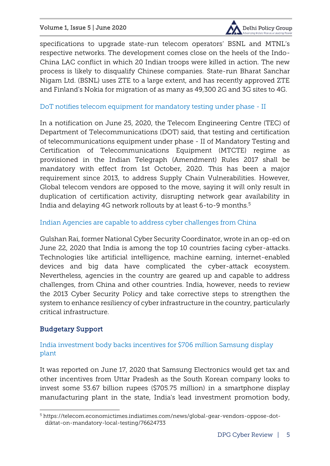

specifications to upgrade state-run telecom operators' BSNL and MTNL's respective networks. The development comes close on the heels of the Indo-China LAC conflict in which 20 Indian troops were killed in action. The new process is likely to disqualify Chinese companies. State-run Bharat Sanchar Nigam Ltd. (BSNL) uses ZTE to a large extent, and has recently approved ZTE and Finland's Nokia for migration of as many as 49,300 2G and 3G sites to 4G.

# <span id="page-9-0"></span>*[DoT notifies telecom equipment for mandatory testing under phase -](https://telecom.economictimes.indiatimes.com/news/dot-notifies-telecom-equipment-for-mandatory-testing-under-phase-ii/76618357) II*

In a notification on June 25, 2020, the Telecom Engineering Centre (TEC) of Department of Telecommunications (DOT) said, that testing and certification of telecommunications equipment under phase - II of Mandatory Testing and Certification of Telecommunications Equipment (MTCTE) regime provisioned in the Indian Telegraph (Amendment) Rules 2017 shall be mandatory with effect from 1st October, 2020. This has been a major requirement since 2013, to address Supply Chain Vulnerabilities. However, Global telecom vendors are opposed to the move, saying it will only result in duplication of certification activity, disrupting network gear availability in India and delaying 4G network rollouts by at least 6-to-9 months.<sup>5</sup>

# <span id="page-9-1"></span>*[Indian Agencies are capable to address cyber challenges from China](https://ciso.economictimes.indiatimes.com/news/india-needs-to-review-its-2013-cyber-security-policy/76504596)*

Gulshan Rai, former National Cyber Security Coordinator, wrote in an op-ed on June 22, 2020 that India is among the top 10 countries facing cyber-attacks. Technologies like artificial intelligence, machine earning, internet-enabled devices and big data have complicated the cyber-attack ecosystem. Nevertheless, agencies in the country are geared up and capable to address challenges, from China and other countries. India, however, needs to review the 2013 Cyber Security Policy and take corrective steps to strengthen the system to enhance resiliency of cyber infrastructure in the country, particularly critical infrastructure.

# <span id="page-9-2"></span>Budgetary Support

 $\overline{a}$ 

# <span id="page-9-3"></span>*[India investment body backs incentives for \\$706 million Samsung display](https://telecom.economictimes.indiatimes.com/news/india-investment-body-backs-incentives-for-706-million-samsung-display-plant-letter/76416485)  [plant](https://telecom.economictimes.indiatimes.com/news/india-investment-body-backs-incentives-for-706-million-samsung-display-plant-letter/76416485)*

It was reported on June 17, 2020 that Samsung Electronics would get tax and other incentives from Uttar Pradesh as the South Korean company looks to invest some 53.67 billion rupees (\$705.75 million) in a smartphone display manufacturing plant in the state, India's lead investment promotion body,

<sup>5</sup> [https://telecom.economictimes.indiatimes.com/news/global-gear-vendors-oppose-dot](https://telecom.economictimes.indiatimes.com/news/global-gear-vendors-oppose-dot-diktat-on-mandatory-local-testing/76624733)[diktat-on-mandatory-local-testing/76624733](https://telecom.economictimes.indiatimes.com/news/global-gear-vendors-oppose-dot-diktat-on-mandatory-local-testing/76624733)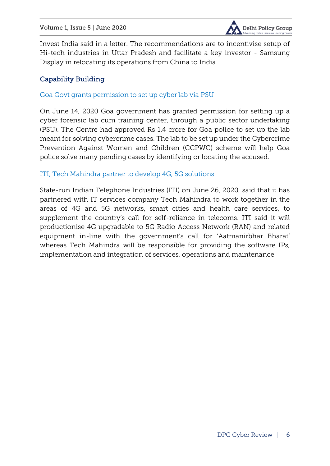

Invest India said in a letter. The recommendations are to incentivise setup of Hi-tech industries in Uttar Pradesh and facilitate a key investor - Samsung Display in relocating its operations from China to India.

# <span id="page-10-0"></span>Capability Building

#### <span id="page-10-1"></span>*[Goa Govt grants permission to set up cyber lab via PSU](https://ciso.economictimes.indiatimes.com/news/govt-grants-permission-to-set-up-cyber-lab-via-psu/76365652)*

On June 14, 2020 Goa government has granted permission for setting up a cyber forensic lab cum training center, through a public sector undertaking (PSU). The Centre had approved Rs 1.4 crore for Goa police to set up the lab meant for solving cybercrime cases. The lab to be set up under the Cybercrime Prevention Against Women and Children (CCPWC) scheme will help Goa police solve many pending cases by identifying or locating the accused.

# <span id="page-10-2"></span>*[ITI, Tech Mahindra partner to develop 4G, 5G solutions](https://telecom.economictimes.indiatimes.com/news/iti-tech-mahindra-partner-to-develop-next-generation-network-solutions/76645353)*

State-run Indian Telephone Industries (ITI) on June 26, 2020, said that it has partnered with IT services company Tech Mahindra to work together in the areas of 4G and 5G networks, smart cities and health care services, to supplement the country's call for self-reliance in telecoms. ITI said it will productionise 4G upgradable to 5G Radio Access Network (RAN) and related equipment in-line with the government's call for 'Aatmanirbhar Bharat' whereas Tech Mahindra will be responsible for providing the software IPs, implementation and integration of services, operations and maintenance.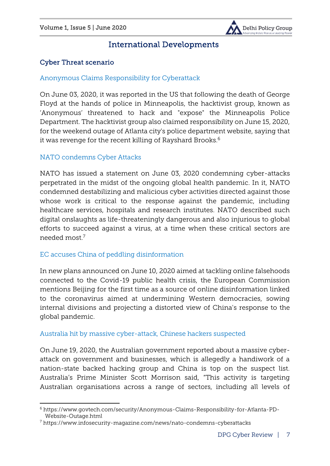

# International Developments

# <span id="page-11-1"></span><span id="page-11-0"></span>Cyber Threat scenario

# <span id="page-11-2"></span>*[Anonymous Claims Responsibility for Cyberattack](https://www.govtech.com/security/Anonymous-Claims-Responsibility-for-Minneapolis-PD-Cyberattack.html?utm_term=Minneapolis%2520earlier%2520this%2520month&utm_campaign=GovTech%2527s%2520Best%2520of%2520the%2520Week&utm_content=email&utm_source=Act-On+Software&utm_medium=email)*

On June 03, 2020, it was reported in the US that following the death of George Floyd at the hands of police in Minneapolis, the hacktivist group, known as 'Anonymous' threatened to hack and "expose" the Minneapolis Police Department. The hacktivist group also claimed responsibility on June 15, 2020, for the weekend outage of Atlanta city's police department website, saying that it was revenge for the recent killing of Rayshard Brooks.<sup>6</sup>

# <span id="page-11-3"></span>*[NATO condemns Cyber Attacks](https://www.nato.int/cps/en/natohq/official_texts_176136.htm)*

1

NATO has issued a statement on June 03, 2020 condemning cyber-attacks perpetrated in the midst of the ongoing global health pandemic. In it, NATO condemned destabilizing and malicious cyber activities directed against those whose work is critical to the response against the pandemic, including healthcare services, hospitals and research institutes. NATO described such digital onslaughts as life-threateningly dangerous and also injurious to global efforts to succeed against a virus, at a time when these critical sectors are needed most.<sup>7</sup>

# <span id="page-11-4"></span>*[EC accuses China of peddling disinformation](https://www.politico.com/news/2020/06/10/brussels-accuses-china-of-peddling-disinformation-311303)*

In new plans announced on June 10, 2020 aimed at tackling online falsehoods connected to the Covid-19 public health crisis, the European Commission mentions Beijing for the first time as a source of online disinformation linked to the coronavirus aimed at undermining Western democracies, sowing internal divisions and projecting a distorted view of China's response to the global pandemic.

# <span id="page-11-5"></span>*[Australia hit by massive cyber-attack, Chinese hackers suspected](https://www.expresscomputer.in/security/australia-hit-by-massive-cyber-attack-chinese-hackers-suspected/58573/)*

On June 19, 2020, the Australian government reported about a massive cyberattack on government and businesses, which is allegedly a handiwork of a nation-state backed hacking group and China is top on the suspect list. Australia's Prime Minister Scott Morrison said, "This activity is targeting Australian organisations across a range of sectors, including all levels of

<sup>6</sup> [https://www.govtech.com/security/Anonymous-Claims-Responsibility-for-Atlanta-PD-](https://www.govtech.com/security/Anonymous-Claims-Responsibility-for-Atlanta-PD-Website-Outage.html)[Website-Outage.html](https://www.govtech.com/security/Anonymous-Claims-Responsibility-for-Atlanta-PD-Website-Outage.html)

<sup>7</sup> <https://www.infosecurity-magazine.com/news/nato-condemns-cyberattacks>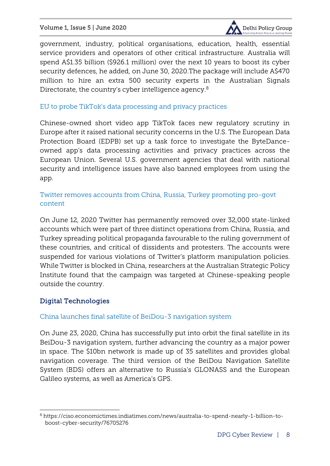

government, industry, political organisations, education, health, essential service providers and operators of other critical infrastructure. Australia will spend A\$1.35 billion (\$926.1 million) over the next 10 years to boost its cyber security defences, he added, on June 30, 2020.The package will include A\$470 million to hire an extra 500 security experts in the Australian Signals Directorate, the country's cyber intelligence agency.<sup>8</sup>

#### <span id="page-12-0"></span>*[EU to probe TikTok's data processing and privacy practices](https://prime.economictimes.indiatimes.com/news/76393677/technology-and-startups/eu-to-probe-tiktoks-data-processing-and-privacy-practices)*

Chinese-owned short video app TikTok faces new regulatory scrutiny in Europe after it raised national security concerns in the U.S. The European Data Protection Board (EDPB) set up a task force to investigate the ByteDanceowned app's data processing activities and privacy practices across the European Union. Several U.S. government agencies that deal with national security and intelligence issues have also banned employees from using the app.

# <span id="page-12-1"></span>*[Twitter removes accounts from China, Russia, Turkey promoting pro-govt](https://www.abc.net.au/news/2020-06-12/twitter-removes-30000-accounts-spreading-propaganda/12346330)  [content](https://www.abc.net.au/news/2020-06-12/twitter-removes-30000-accounts-spreading-propaganda/12346330)*

On June 12, 2020 Twitter has permanently removed over 32,000 state-linked accounts which were part of three distinct operations from China, Russia, and Turkey spreading political propaganda favourable to the ruling government of these countries, and critical of dissidents and protesters. The accounts were suspended for various violations of Twitter's platform manipulation policies. While Twitter is blocked in China, researchers at the Australian Strategic Policy Institute found that the campaign was targeted at Chinese-speaking people outside the country.

# <span id="page-12-2"></span>Digital Technologies

 $\overline{a}$ 

# <span id="page-12-3"></span>*[China launches final satellite of BeiDou-3 navigation system](https://www.bbc.com/news/business-53132957)*

On June 23, 2020, China has successfully put into orbit the final satellite in its BeiDou-3 navigation system, further advancing the country as a major power in space. The \$10bn network is made up of 35 satellites and provides global navigation coverage. The third version of the BeiDou Navigation Satellite System (BDS) offers an alternative to Russia's GLONASS and the European Galileo systems, as well as America's GPS.

<sup>8</sup> [https://ciso.economictimes.indiatimes.com/news/australia-to-spend-nearly-1-billion-to](https://ciso.economictimes.indiatimes.com/news/australia-to-spend-nearly-1-billion-to-boost-cyber-security/76705276)[boost-cyber-security/76705276](https://ciso.economictimes.indiatimes.com/news/australia-to-spend-nearly-1-billion-to-boost-cyber-security/76705276)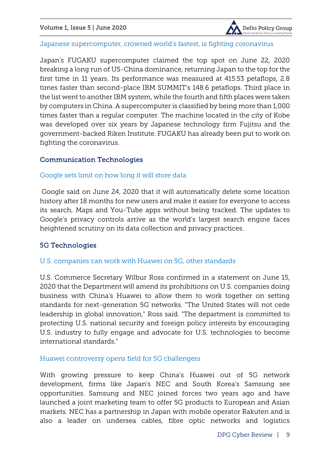

<span id="page-13-0"></span>*[Japanese supercomputer, crowned world's fastest, is fighting coronavirus](https://www.bbc.co.uk/news/world-asia-53147684)*

Japan's FUGAKU supercomputer claimed the top spot on June 22, 2020 breaking a long run of US-China dominance, returning Japan to the top for the first time in 11 years. Its performance was measured at 415.53 petaflops, 2.8 times faster than second-place IBM SUMMIT's 148.6 petaflops. Third place in the list went to another IBM system, while the fourth and fifth places were taken by computers in China. A supercomputer is classified by being more than 1,000 times faster than a regular computer. The machine located in the city of Kobe was developed over six years by Japanese technology firm Fujitsu and the government-backed Riken Institute. FUGAKU has already been put to work on fighting the coronavirus.

# <span id="page-13-1"></span>Communication Technologies

#### <span id="page-13-2"></span>*[Google sets limit on how long it will store data](https://ciso.economictimes.indiatimes.com/news/google-sets-limit-on-how-long-it-will-store-data/76641220)*

Google said on June 24, 2020 that it will automatically delete some location history after 18 months for new users and make it easier for everyone to access its search, Maps and You-Tube apps without being tracked. The updates to Google's privacy controls arrive as the world's largest search engine faces heightened scrutiny on its data collection and privacy practices.

# <span id="page-13-3"></span>5G Technologies

#### <span id="page-13-4"></span>*U.S. companies can work with Huawei on 5G, other standards*

U.S. Commerce Secretary Wilbur Ross confirmed in a statement on June 15, 2020 that the Department will amend its prohibitions on U.S. companies doing business with China's Huawei to allow them to work together on setting standards for next-generation 5G networks. "The United States will not cede leadership in global innovation," Ross said. "The department is committed to protecting U.S. national security and foreign policy interests by encouraging U.S. industry to fully engage and advocate for U.S. technologies to become international standards."

#### <span id="page-13-5"></span>*[Huawei controversy opens field for 5G challengers](https://telecom.economictimes.indiatimes.com/news/huawei-controversy-opens-field-for-5g-challengers/76669809)*

With growing pressure to keep China's Huawei out of 5G network development, firms like Japan's NEC and South Korea's Samsung see opportunities. Samsung and NEC joined forces two years ago and have launched a joint marketing team to offer 5G products to European and Asian markets. NEC has a partnership in Japan with mobile operator Rakuten and is also a leader on undersea cables, fibre optic networks and logistics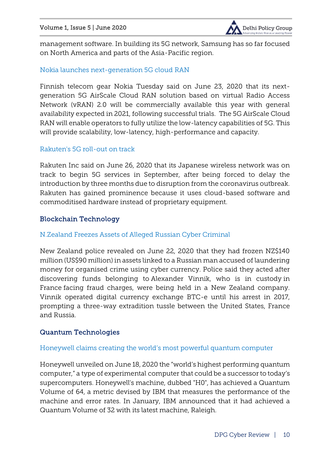

management software. In building its 5G network, Samsung has so far focused on North America and parts of the Asia-Pacific region.

# <span id="page-14-0"></span>*[Nokia launches next-generation 5G cloud RAN](https://telecom.economictimes.indiatimes.com/news/nokia-launches-next-generation-5g-cloud-ran/76530943)*

Finnish telecom gear Nokia Tuesday said on June 23, 2020 that its nextgeneration 5G AirScale Cloud RAN solution based on virtual Radio Access Network (vRAN) 2.0 will be commercially available this year with general availability expected in 2021, following successful trials. The 5G AirScale Cloud RAN will enable operators to fully utilize the low-latency capabilities of 5G. This will provide scalability, low-latency, high-performance and capacity.

# <span id="page-14-1"></span>*[Rakuten's 5G roll-out on track](https://telecom.economictimes.indiatimes.com/news/rakutens-5g-roll-out-on-track-eyes-taking-tech-abroad-this-year/76643961)*

Rakuten Inc said on June 26, 2020 that its Japanese wireless network was on track to begin 5G services in September, after being forced to delay the introduction by three months due to disruption from the coronavirus outbreak. Rakuten has gained prominence because it uses cloud-based software and commoditised hardware instead of proprietary equipment.

# <span id="page-14-2"></span>Blockchain Technology

# <span id="page-14-3"></span>*[N.Zealand Freezes Assets of Alleged Russian Cyber Criminal](https://www.securityweek.com/nzealand-freezes-assets-alleged-russian-cyber-criminal)*

New Zealand police revealed on June 22, 2020 that they had frozen NZ\$140 million (US\$90 million) in assets linked to a Russian man accused of laundering money for organised crime using cyber currency. Police said they acted after discovering funds belonging to Alexander Vinnik, who is in custody in France facing fraud charges, were being held in a New Zealand company. Vinnik operated digital currency exchange BTC-e until his arrest in 2017, prompting a three-way extradition tussle between the United States, France and Russia.

# <span id="page-14-4"></span>Quantum Technologies

#### <span id="page-14-5"></span>*[Honeywell claims creating the world's most powerful quantum computer](https://fortune.com/2020/06/18/honeywell-most-powerful-quantum-computer/)*

Honeywell unveiled on June 18, 2020 the "world's highest performing quantum computer," a type of experimental computer that could be a successor to today's supercomputers. Honeywell's machine, dubbed "H0", has achieved a Quantum Volume of 64, a metric devised by IBM that measures the performance of the machine and error rates. In January, IBM announced that it had achieved a Quantum Volume of 32 with its latest machine, Raleigh.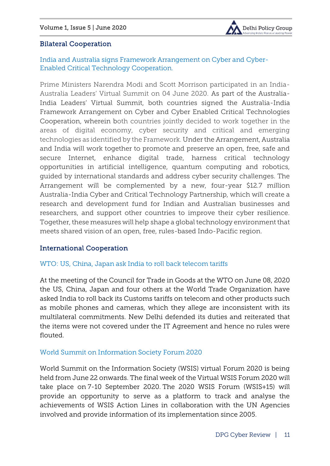

# <span id="page-15-0"></span>Bilateral Cooperation

<span id="page-15-1"></span>*[India and Australia signs Framework Arrangement on Cyber and Cyber-](https://mea.gov.in/bilateral-documents.htm?dtl/32728/List+of+the+documents+announcedsigned+during+India++Australia+Virtual+Summit)[Enabled Critical Technology Cooperation.](https://mea.gov.in/bilateral-documents.htm?dtl/32728/List+of+the+documents+announcedsigned+during+India++Australia+Virtual+Summit)*

Prime Ministers Narendra Modi and Scott Morrison participated in an India-Australia Leaders' Virtual Summit on 04 June 2020. As part of the Australia-India Leaders' Virtual Summit, both countries signed the Australia-India Framework Arrangement on Cyber and Cyber Enabled Critical Technologies Cooperation, wherein both countries jointly decided to work together in the areas of digital economy, cyber security and critical and emerging technologies as identified by the Framework. Under the Arrangement, Australia and India will work together to promote and preserve an open, free, safe and secure Internet, enhance digital trade, harness critical technology opportunities in artificial intelligence, quantum computing and robotics, guided by international standards and address cyber security challenges. The Arrangement will be complemented by a new, four-year \$12.7 million Australia-India Cyber and Critical Technology Partnership, which will create a research and development fund for Indian and Australian businesses and researchers, and support other countries to improve their cyber resilience. Together, these measures will help shape a global technology environment that meets shared vision of an open, free, rules-based Indo-Pacific region.

#### <span id="page-15-2"></span>International Cooperation

#### <span id="page-15-3"></span>*[WTO: US, China, Japan ask India to roll back telecom tariffs](https://www.thehindubusinessline.com/info-tech/wto-us-china-ask-india-to-roll-back-telecom-tariffs/article31788234.ece)*

At the meeting of the Council for Trade in Goods at the WTO on June 08, 2020 the US, China, Japan and four others at the World Trade Organization have asked India to roll back its Customs tariffs on telecom and other products such as mobile phones and cameras, which they allege are inconsistent with its multilateral commitments. New Delhi defended its duties and reiterated that the items were not covered under the IT Agreement and hence no rules were flouted.

#### <span id="page-15-4"></span>*[World Summit on Information Society Forum 2020](https://www.itu.int/en/Pages/default.aspx)*

World Summit on the Information Society (WSIS) virtual Forum 2020 is being held from June 22 onwards. The final week of the Virtual WSIS Forum 2020 will take place on 7-10 September 2020. The 2020 WSIS Forum (WSIS+15) will provide an opportunity to serve as a platform to track and analyse the achievements of WSIS Action Lines in collaboration with the UN Agencies involved and provide information of its implementation since 2005.